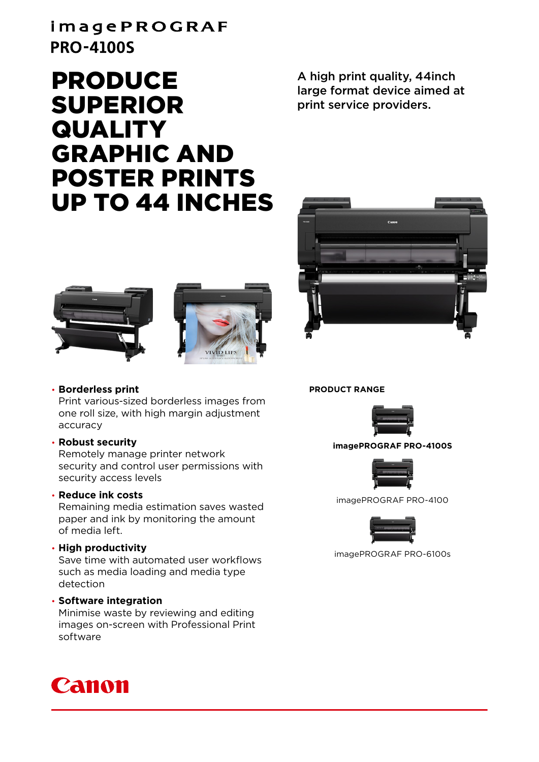## imagePROGRAF **PRO-4100S**

# PRODUCE SUPERIOR **QUALITY** GRAPHIC AND POSTER PRINTS UP TO 44 INCHES

A high print quality, 44inch large format device aimed at print service providers.







#### • **Borderless print**

Print various-sized borderless images from one roll size, with high margin adjustment accuracy

#### • **Robust security**

Remotely manage printer network security and control user permissions with security access levels

#### • **Reduce ink costs**

Remaining media estimation saves wasted paper and ink by monitoring the amount of media left.

#### • **High productivity**

Save time with automated user workflows such as media loading and media type detection

#### • **Software integration**

Minimise waste by reviewing and editing images on-screen with Professional Print software



**PRODUCT RANGE**



#### **imagePROGRAF PRO-4100S**



imagePROGRAF PRO-4100



imagePROGRAF PRO-6100s